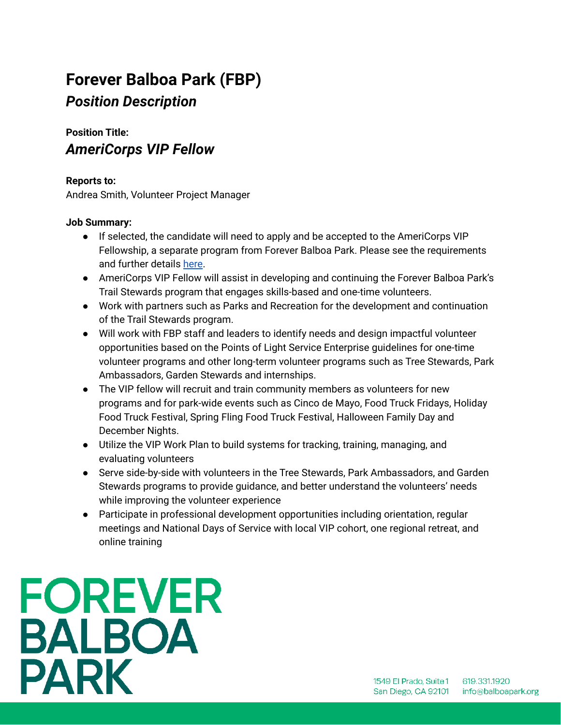## **Forever Balboa Park (FBP)** *Position Description*

### **Position Title:** *AmeriCorps VIP Fellow*

#### **Reports to:**

Andrea Smith, Volunteer Project Manager

#### **Job Summary:**

- If selected, the candidate will need to apply and be accepted to the AmeriCorps VIP Fellowship, a separate program from Forever Balboa Park. Please see the requirements and further details [here](https://my.americorps.gov/mp/listing/viewListing.do?id=51560).
- AmeriCorps VIP Fellow will assist in developing and continuing the Forever Balboa Park's Trail Stewards program that engages skills-based and one-time volunteers.
- Work with partners such as Parks and Recreation for the development and continuation of the Trail Stewards program.
- Will work with FBP staff and leaders to identify needs and design impactful volunteer opportunities based on the Points of Light Service Enterprise guidelines for one-time volunteer programs and other long-term volunteer programs such as Tree Stewards, Park Ambassadors, Garden Stewards and internships.
- The VIP fellow will recruit and train community members as volunteers for new programs and for park-wide events such as Cinco de Mayo, Food Truck Fridays, Holiday Food Truck Festival, Spring Fling Food Truck Festival, Halloween Family Day and December Nights.
- Utilize the VIP Work Plan to build systems for tracking, training, managing, and evaluating volunteers
- Serve side-by-side with volunteers in the Tree Stewards, Park Ambassadors, and Garden Stewards programs to provide guidance, and better understand the volunteers' needs while improving the volunteer experience
- Participate in professional development opportunities including orientation, regular meetings and National Days of Service with local VIP cohort, one regional retreat, and online training